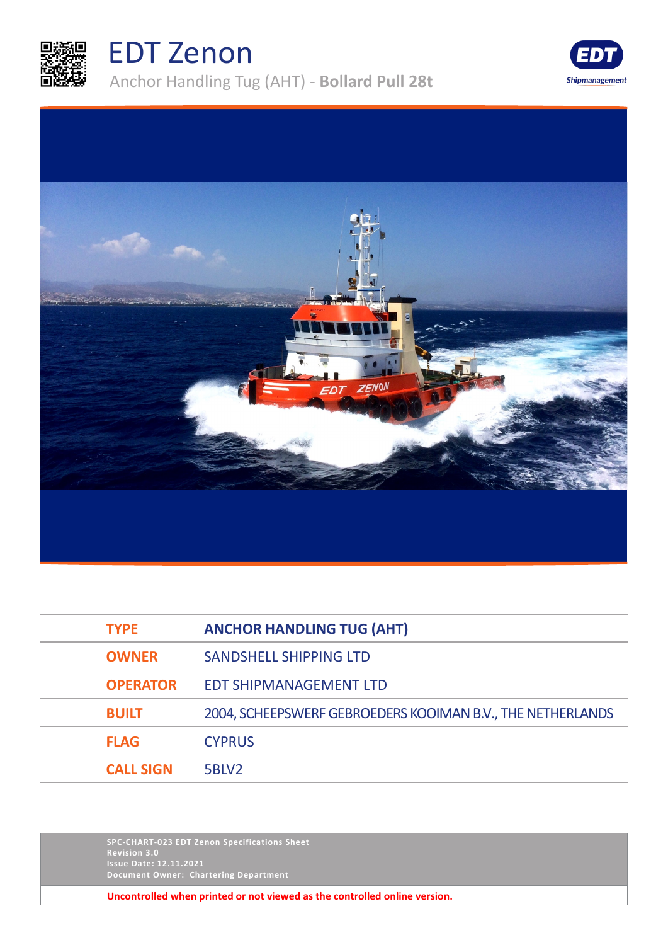

## EDT Zenon

Anchor Handling Tug (AHT) - **Bollard Pull 28t**





| <b>TYPE</b>      | <b>ANCHOR HANDLING TUG (AHT)</b>                           |
|------------------|------------------------------------------------------------|
| <b>OWNER</b>     | SANDSHELL SHIPPING LTD                                     |
| <b>OPERATOR</b>  | <b>EDT SHIPMANAGEMENT LTD</b>                              |
| <b>BUILT</b>     | 2004, SCHEEPSWERF GEBROEDERS KOOIMAN B.V., THE NETHERLANDS |
| <b>FLAG</b>      | <b>CYPRUS</b>                                              |
| <b>CALL SIGN</b> | 5BLV2                                                      |

**SPC-CHART-023 EDT Zenon Specifications Sheet Revision 3.0 Issue Date: 12.11.2021 Document Owner: Chartering Department**

**Uncontrolled when printed or not viewed as the controlled online version.**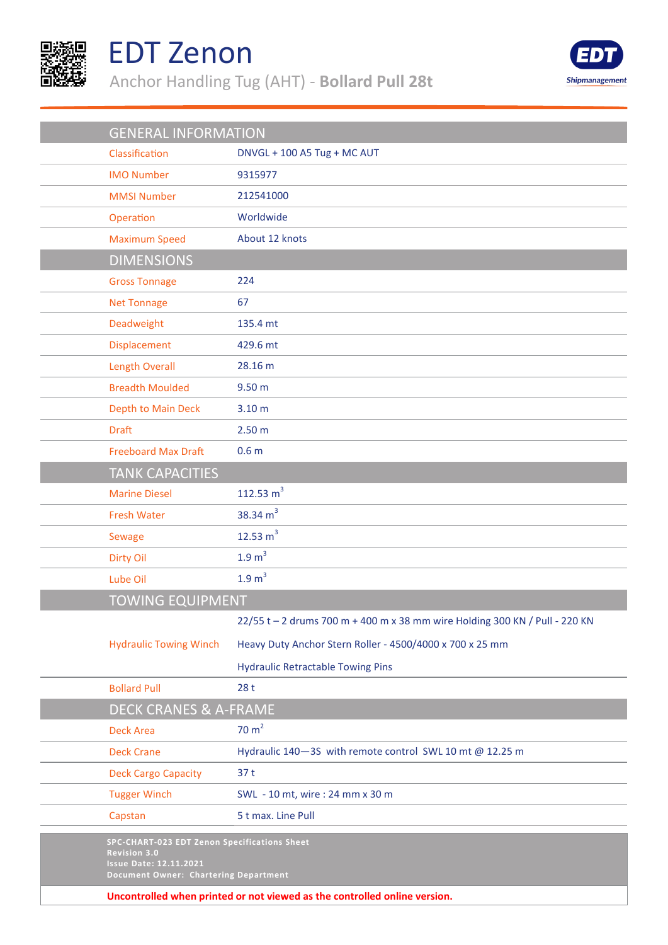

## EDT Zenon

Anchor Handling Tug (AHT) - **Bollard Pull 28t**



| <b>GENERAL INFORMATION</b>                                                                                                                           |                                                                             |  |
|------------------------------------------------------------------------------------------------------------------------------------------------------|-----------------------------------------------------------------------------|--|
| Classification                                                                                                                                       | DNVGL + 100 A5 Tug + MC AUT                                                 |  |
|                                                                                                                                                      |                                                                             |  |
| <b>IMO Number</b>                                                                                                                                    | 9315977                                                                     |  |
| <b>MMSI Number</b>                                                                                                                                   | 212541000                                                                   |  |
| Operation                                                                                                                                            | Worldwide                                                                   |  |
| <b>Maximum Speed</b>                                                                                                                                 | About 12 knots                                                              |  |
| <b>DIMENSIONS</b>                                                                                                                                    |                                                                             |  |
| <b>Gross Tonnage</b>                                                                                                                                 | 224                                                                         |  |
| <b>Net Tonnage</b>                                                                                                                                   | 67                                                                          |  |
| Deadweight                                                                                                                                           | 135.4 mt                                                                    |  |
| Displacement                                                                                                                                         | 429.6 mt                                                                    |  |
| <b>Length Overall</b>                                                                                                                                | 28.16 m                                                                     |  |
| <b>Breadth Moulded</b>                                                                                                                               | 9.50 <sub>m</sub>                                                           |  |
| Depth to Main Deck                                                                                                                                   | 3.10 <sub>m</sub>                                                           |  |
| <b>Draft</b>                                                                                                                                         | 2.50 <sub>m</sub>                                                           |  |
| <b>Freeboard Max Draft</b>                                                                                                                           | 0.6 <sub>m</sub>                                                            |  |
| <b>TANK CAPACITIES</b>                                                                                                                               |                                                                             |  |
| <b>Marine Diesel</b>                                                                                                                                 | 112.53 $m3$                                                                 |  |
| <b>Fresh Water</b>                                                                                                                                   | 38.34 $m3$                                                                  |  |
| Sewage                                                                                                                                               | 12.53 $m3$                                                                  |  |
| <b>Dirty Oil</b>                                                                                                                                     | 1.9 m <sup>3</sup>                                                          |  |
| Lube Oil                                                                                                                                             | 1.9 m <sup>3</sup>                                                          |  |
| <b>TOWING EQUIPMENT</b>                                                                                                                              |                                                                             |  |
|                                                                                                                                                      | 22/55 t - 2 drums 700 m + 400 m x 38 mm wire Holding 300 KN / Pull - 220 KN |  |
| <b>Hydraulic Towing Winch</b>                                                                                                                        | Heavy Duty Anchor Stern Roller - 4500/4000 x 700 x 25 mm                    |  |
|                                                                                                                                                      | <b>Hydraulic Retractable Towing Pins</b>                                    |  |
| <b>Bollard Pull</b>                                                                                                                                  | 28t                                                                         |  |
| <b>DECK CRANES &amp; A-FRAME</b>                                                                                                                     |                                                                             |  |
| <b>Deck Area</b>                                                                                                                                     | 70 m <sup>2</sup>                                                           |  |
| <b>Deck Crane</b>                                                                                                                                    | Hydraulic 140-3S with remote control SWL 10 mt @ 12.25 m                    |  |
| <b>Deck Cargo Capacity</b>                                                                                                                           | 37t                                                                         |  |
| <b>Tugger Winch</b>                                                                                                                                  | SWL - 10 mt, wire: 24 mm x 30 m                                             |  |
| Capstan                                                                                                                                              | 5 t max. Line Pull                                                          |  |
| SPC-CHART-023 EDT Zenon Specifications Sheet<br><b>Revision 3.0</b><br><b>Issue Date: 12.11.2021</b><br><b>Document Owner: Chartering Department</b> |                                                                             |  |
| Uncontrolled when printed or not viewed as the controlled online version.                                                                            |                                                                             |  |